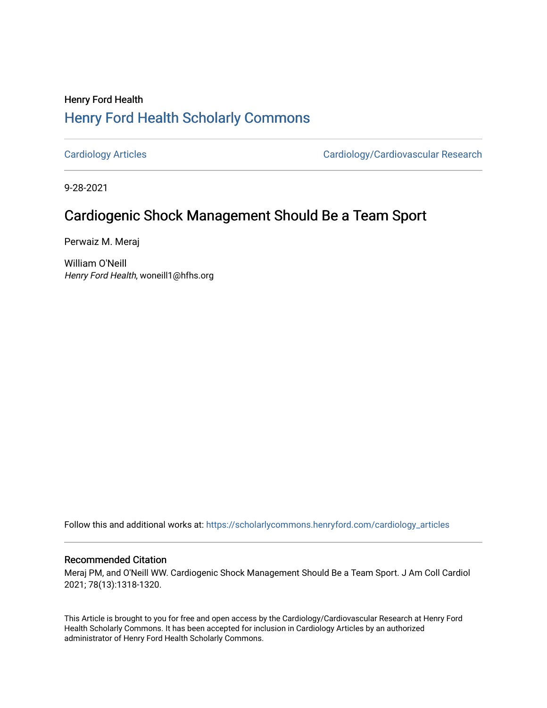## Henry Ford Health [Henry Ford Health Scholarly Commons](https://scholarlycommons.henryford.com/)

[Cardiology Articles](https://scholarlycommons.henryford.com/cardiology_articles) [Cardiology/Cardiovascular Research](https://scholarlycommons.henryford.com/cardiology) 

9-28-2021

## Cardiogenic Shock Management Should Be a Team Sport

Perwaiz M. Meraj

William O'Neill Henry Ford Health, woneill1@hfhs.org

Follow this and additional works at: [https://scholarlycommons.henryford.com/cardiology\\_articles](https://scholarlycommons.henryford.com/cardiology_articles?utm_source=scholarlycommons.henryford.com%2Fcardiology_articles%2F819&utm_medium=PDF&utm_campaign=PDFCoverPages)

### Recommended Citation

Meraj PM, and O'Neill WW. Cardiogenic Shock Management Should Be a Team Sport. J Am Coll Cardiol 2021; 78(13):1318-1320.

This Article is brought to you for free and open access by the Cardiology/Cardiovascular Research at Henry Ford Health Scholarly Commons. It has been accepted for inclusion in Cardiology Articles by an authorized administrator of Henry Ford Health Scholarly Commons.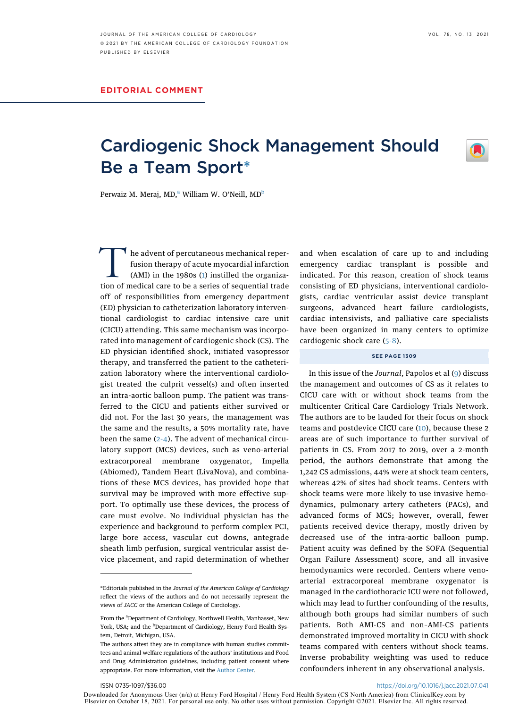# Cardiogenic Shock Management Should Be a Team Spor[t\\*](#page-1-0)



Perw[a](#page-1-1)iz M. Meraj, MD,<sup>a</sup> William W. O'Neill, MD<sup>[b](#page-1-2)</sup>

 $\mathsf I$  he advent of percutaneous mechanical reperfusion therapy of acute myocardial infarction (AMI) in the 1980s ([1](#page-2-0)) instilled the organization of medical care to be a series of sequential trade off of responsibilities from emergency department (ED) physician to catheterization laboratory interventional cardiologist to cardiac intensive care unit (CICU) attending. This same mechanism was incorporated into management of cardiogenic shock (CS). The ED physician identified shock, initiated vasopressor therapy, and transferred the patient to the catheterization laboratory where the interventional cardiologist treated the culprit vessel(s) and often inserted an intra-aortic balloon pump. The patient was transferred to the CICU and patients either survived or did not. For the last 30 years, the management was the same and the results, a 50% mortality rate, have been the same ([2-4](#page-2-1)). The advent of mechanical circulatory support (MCS) devices, such as veno-arterial extracorporeal membrane oxygenator, Impella (Abiomed), Tandem Heart (LivaNova), and combinations of these MCS devices, has provided hope that survival may be improved with more effective support. To optimally use these devices, the process of care must evolve. No individual physician has the experience and background to perform complex PCI, large bore access, vascular cut downs, antegrade sheath limb perfusion, surgical ventricular assist device placement, and rapid determination of whether

and when escalation of care up to and including emergency cardiac transplant is possible and indicated. For this reason, creation of shock teams consisting of ED physicians, interventional cardiologists, cardiac ventricular assist device transplant surgeons, advanced heart failure cardiologists, cardiac intensivists, and palliative care specialists have been organized in many centers to optimize cardiogenic shock care [\(5-8\)](#page-2-2).

#### SEE PAGE 1309

In this issue of the Journal, Papolos et al ([9](#page-2-3)) discuss the management and outcomes of CS as it relates to CICU care with or without shock teams from the multicenter Critical Care Cardiology Trials Network. The authors are to be lauded for their focus on shock teams and postdevice CICU care [\(10](#page-2-4)), because these 2 areas are of such importance to further survival of patients in CS. From 2017 to 2019, over a 2-month period, the authors demonstrate that among the 1,242 CS admissions, 44% were at shock team centers, whereas 42% of sites had shock teams. Centers with shock teams were more likely to use invasive hemodynamics, pulmonary artery catheters (PACs), and advanced forms of MCS; however, overall, fewer patients received device therapy, mostly driven by decreased use of the intra-aortic balloon pump. Patient acuity was defined by the SOFA (Sequential Organ Failure Assessment) score, and all invasive hemodynamics were recorded. Centers where venoarterial extracorporeal membrane oxygenator is managed in the cardiothoracic ICU were not followed, which may lead to further confounding of the results, although both groups had similar numbers of such patients. Both AMI-CS and non–AMI-CS patients demonstrated improved mortality in CICU with shock teams compared with centers without shock teams. Inverse probability weighting was used to reduce confounders inherent in any observational analysis.

#### ISSN 0735-1097/\$36.00 <https://doi.org/10.1016/j.jacc.2021.07.041>

Downloaded for Anonymous User (n/a) at Henry Ford Hospital / Henry Ford Health System (CS North America) from ClinicalKey.com by Elsevier on October 18, 2021. For personal use only. No other uses without permission. Copyright ©2021. Elsevier Inc. All rights reserved.

<span id="page-1-0"></span><sup>\*</sup>Editorials published in the Journal of the American College of Cardiology reflect the views of the authors and do not necessarily represent the views of JACC or the American College of Cardiology.

<span id="page-1-2"></span><span id="page-1-1"></span>From the <sup>a</sup>Department of Cardiology, Northwell Health, Manhasset, New York, USA; and the <sup>b</sup>Department of Cardiology, Henry Ford Health System, Detroit, Michigan, USA.

The authors attest they are in compliance with human studies committees and animal welfare regulations of the authors' institutions and Food and Drug Administration guidelines, including patient consent where appropriate. For more information, visit the [Author Center.](https://www.jacc.org/author-center)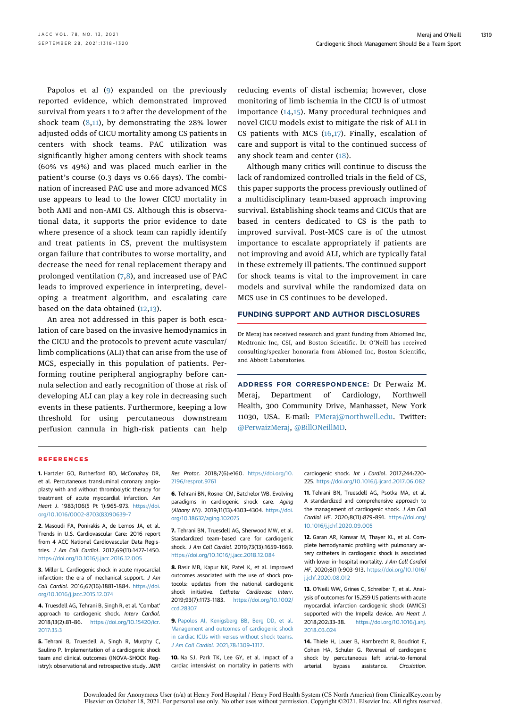Papolos et al [\(9](#page-2-3)) expanded on the previously reported evidence, which demonstrated improved survival from years 1 to 2 after the development of the shock team  $(8,11)$  $(8,11)$  $(8,11)$  $(8,11)$  $(8,11)$ , by demonstrating the 28% lower adjusted odds of CICU mortality among CS patients in centers with shock teams. PAC utilization was significantly higher among centers with shock teams (60% vs 49%) and was placed much earlier in the patient's course (0.3 days vs 0.66 days). The combination of increased PAC use and more advanced MCS use appears to lead to the lower CICU mortality in both AMI and non-AMI CS. Although this is observational data, it supports the prior evidence to date where presence of a shock team can rapidly identify and treat patients in CS, prevent the multisystem organ failure that contributes to worse mortality, and decrease the need for renal replacement therapy and prolonged ventilation [\(7](#page-2-7),[8\)](#page-2-5), and increased use of PAC leads to improved experience in interpreting, developing a treatment algorithm, and escalating care based on the data obtained [\(12](#page-2-8),[13](#page-2-9)).

An area not addressed in this paper is both escalation of care based on the invasive hemodynamics in the CICU and the protocols to prevent acute vascular/ limb complications (ALI) that can arise from the use of MCS, especially in this population of patients. Performing routine peripheral angiography before cannula selection and early recognition of those at risk of developing ALI can play a key role in decreasing such events in these patients. Furthermore, keeping a low threshold for using percutaneous downstream perfusion cannula in high-risk patients can help reducing events of distal ischemia; however, close monitoring of limb ischemia in the CICU is of utmost importance ([14](#page-2-10),[15\)](#page-3-0). Many procedural techniques and novel CICU models exist to mitigate the risk of ALI in CS patients with MCS  $(16,17)$  $(16,17)$  $(16,17)$  $(16,17)$ . Finally, escalation of care and support is vital to the continued success of any shock team and center [\(18\)](#page-3-3).

Although many critics will continue to discuss the lack of randomized controlled trials in the field of CS, this paper supports the process previously outlined of a multidisciplinary team-based approach improving survival. Establishing shock teams and CICUs that are based in centers dedicated to CS is the path to improved survival. Post-MCS care is of the utmost importance to escalate appropriately if patients are not improving and avoid ALI, which are typically fatal in these extremely ill patients. The continued support for shock teams is vital to the improvement in care models and survival while the randomized data on MCS use in CS continues to be developed.

#### FUNDING SUPPORT AND AUTHOR DISCLOSURES

Dr Meraj has received research and grant funding from Abiomed Inc, Medtronic Inc, CSI, and Boston Scientific. Dr O'Neill has received consulting/speaker honoraria from Abiomed Inc, Boston Scientific, and Abbott Laboratories.

ADDRESS FOR CORRESPONDENCE: Dr Perwaiz M. Meraj, Department of Cardiology, Northwell Health, 300 Community Drive, Manhasset, New York 11030, USA. E-mail: [PMeraj@northwell.edu.](mailto:PMeraj@northwell.edu) Twitter: [@PerwaizMeraj](https://twitter.com/PerwaizMeraj), [@BillONeillMD.](https://twitter.com/BillONeillMD)

#### **REFERENCES**

<span id="page-2-0"></span>1. Hartzler GO, Rutherford BD, McConahay DR, et al. Percutaneous transluminal coronary angioplasty with and without thrombolytic therapy for treatment of acute myocardial infarction. Am Heart J. 1983;106(5 Pt 1):965–973. [https://doi.](https://doi.org/10.1016/0002-8703(83)90639-7) [org/10.1016/0002-8703\(83\)90639-7](https://doi.org/10.1016/0002-8703(83)90639-7)

<span id="page-2-1"></span>2. Masoudi FA, Ponirakis A, de Lemos JA, et al. Trends in U.S. Cardiovascular Care: 2016 report from 4 ACC National Cardiovascular Data Registries. J Am Coll Cardiol. 2017;69(11):1427–1450. <https://doi.org/10.1016/j.jacc.2016.12.005>

3. Miller L. Cardiogenic shock in acute myocardial infarction: the era of mechanical support. J Am Coll Cardiol. 2016;67(16):1881–1884. [https://doi.](https://doi.org/10.1016/j.jacc.2015.12.074) [org/10.1016/j.jacc.2015.12.074](https://doi.org/10.1016/j.jacc.2015.12.074)

4. Truesdell AG, Tehrani B, Singh R, et al. 'Combat' approach to cardiogenic shock. Intery Cardiol. 2018;13(2):81–86. [https://doi.org/10.15420/icr.](https://doi.org/10.15420/icr.2017:35:3) [2017:35:3](https://doi.org/10.15420/icr.2017:35:3)

<span id="page-2-2"></span>5. Tehrani B, Truesdell A, Singh R, Murphy C, Saulino P. Implementation of a cardiogenic shock team and clinical outcomes (INOVA-SHOCK Registry): observational and retrospective study. JMIR Res Protoc. 2018;7(6):e160. [https://doi.org/10.](https://doi.org/10.2196/resprot.9761) [2196/resprot.9761](https://doi.org/10.2196/resprot.9761)

6. Tehrani BN, Rosner CM, Batchelor WB. Evolving paradigms in cardiogenic shock care. Aging (Albany NY). 2019;11(13):4303–4304. [https://doi.](https://doi.org/10.18632/aging.102075) [org/10.18632/aging.102075](https://doi.org/10.18632/aging.102075)

<span id="page-2-7"></span>7. Tehrani BN, Truesdell AG, Sherwood MW, et al. Standardized team-based care for cardiogenic shock. J Am Coll Cardiol. 2019;73(13):1659–1669. <https://doi.org/10.1016/j.jacc.2018.12.084>

<span id="page-2-5"></span>8. Basir MB, Kapur NK, Patel K, et al. Improved outcomes associated with the use of shock protocols: updates from the national cardiogenic shock initiative. Catheter Cardiovasc Interv. 2019;93(7):1173–1183. [https://doi.org/10.1002/](https://doi.org/10.1002/ccd.28307) [ccd.28307](https://doi.org/10.1002/ccd.28307)

<span id="page-2-3"></span>9. [Papolos AI, Kenigsberg BB, Berg DD, et al.](http://refhub.elsevier.com/S0735-1097(21)05778-8/sref9) [Management and outcomes of cardiogenic shock](http://refhub.elsevier.com/S0735-1097(21)05778-8/sref9) [in cardiac ICUs with versus without shock teams.](http://refhub.elsevier.com/S0735-1097(21)05778-8/sref9) [J Am Coll Cardiol](http://refhub.elsevier.com/S0735-1097(21)05778-8/sref9). 2021;78:1309–1317.

<span id="page-2-4"></span>10. Na SJ, Park TK, Lee GY, et al. Impact of a cardiac intensivist on mortality in patients with cardiogenic shock. Int J Cardiol. 2017;244:220– 225. <https://doi.org/10.1016/j.ijcard.2017.06.082>

<span id="page-2-6"></span>11. Tehrani BN, Truesdell AG, Psotka MA, et al. A standardized and comprehensive approach to the management of cardiogenic shock. J Am Coll Cardiol HF. 2020;8(11):879–891. [https://doi.org/](https://doi.org/10.1016/j.jchf.2020.09.005) [10.1016/j.jchf.2020.09.005](https://doi.org/10.1016/j.jchf.2020.09.005)

<span id="page-2-8"></span>12. Garan AR, Kanwar M, Thayer KL, et al. Complete hemodynamic profiling with pulmonary artery catheters in cardiogenic shock is associated with lower in-hospital mortality. J Am Coll Cardiol HF. 2020;8(11):903–913. [https://doi.org/10.1016/](https://doi.org/10.1016/j.jchf.2020.08.012) [j.jchf.2020.08.012](https://doi.org/10.1016/j.jchf.2020.08.012)

<span id="page-2-9"></span>13. O'Neill WW, Grines C, Schreiber T, et al. Analysis of outcomes for 15,259 US patients with acute myocardial infarction cardiogenic shock (AMICS) supported with the Impella device. Am Heart J. 2018;202:33–38. [https://doi.org/10.1016/j.ahj.](https://doi.org/10.1016/j.ahj.2018.03.024) [2018.03.024](https://doi.org/10.1016/j.ahj.2018.03.024)

<span id="page-2-10"></span>14. Thiele H, Lauer B, Hambrecht R, Boudriot E, Cohen HA, Schuler G. Reversal of cardiogenic shock by percutaneous left atrial-to-femoral arterial bypass assistance. Circulation.